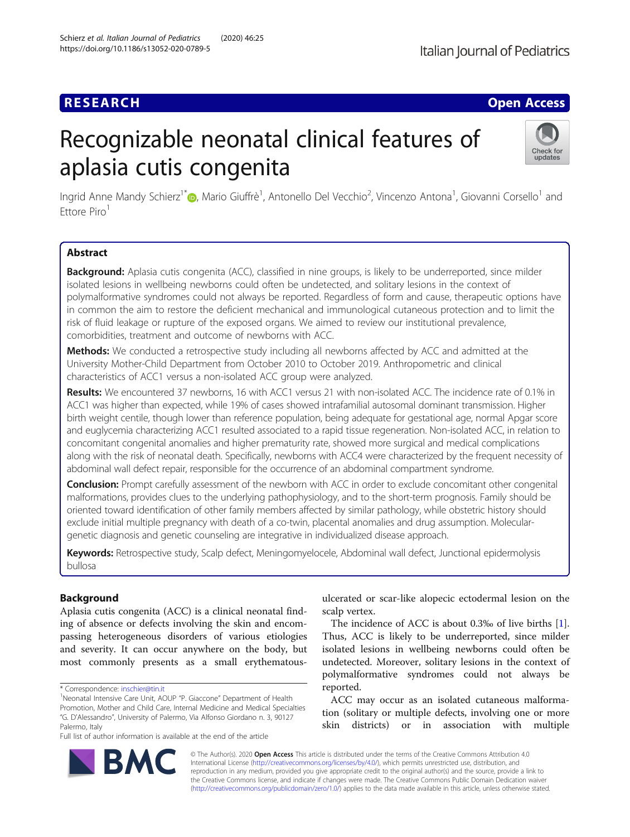# **RESEARCH CHE Open Access**

# Recognizable neonatal clinical features of aplasia cutis congenita



Ingrid Anne Mandy Schierz<sup>1[\\*](http://orcid.org/0000-0001-7444-4948)</sup>®, Mario Giuffrè<sup>1</sup>, Antonello Del Vecchio<sup>2</sup>, Vincenzo Antona<sup>1</sup>, Giovanni Corsello<sup>1</sup> and Ettore Piro<sup>1</sup>

# Abstract

Background: Aplasia cutis congenita (ACC), classified in nine groups, is likely to be underreported, since milder isolated lesions in wellbeing newborns could often be undetected, and solitary lesions in the context of polymalformative syndromes could not always be reported. Regardless of form and cause, therapeutic options have in common the aim to restore the deficient mechanical and immunological cutaneous protection and to limit the risk of fluid leakage or rupture of the exposed organs. We aimed to review our institutional prevalence, comorbidities, treatment and outcome of newborns with ACC.

Methods: We conducted a retrospective study including all newborns affected by ACC and admitted at the University Mother-Child Department from October 2010 to October 2019. Anthropometric and clinical characteristics of ACC1 versus a non-isolated ACC group were analyzed.

Results: We encountered 37 newborns, 16 with ACC1 versus 21 with non-isolated ACC. The incidence rate of 0.1% in ACC1 was higher than expected, while 19% of cases showed intrafamilial autosomal dominant transmission. Higher birth weight centile, though lower than reference population, being adequate for gestational age, normal Apgar score and euglycemia characterizing ACC1 resulted associated to a rapid tissue regeneration. Non-isolated ACC, in relation to concomitant congenital anomalies and higher prematurity rate, showed more surgical and medical complications along with the risk of neonatal death. Specifically, newborns with ACC4 were characterized by the frequent necessity of abdominal wall defect repair, responsible for the occurrence of an abdominal compartment syndrome.

**Conclusion:** Prompt carefully assessment of the newborn with ACC in order to exclude concomitant other congenital malformations, provides clues to the underlying pathophysiology, and to the short-term prognosis. Family should be oriented toward identification of other family members affected by similar pathology, while obstetric history should exclude initial multiple pregnancy with death of a co-twin, placental anomalies and drug assumption. Moleculargenetic diagnosis and genetic counseling are integrative in individualized disease approach.

Keywords: Retrospective study, Scalp defect, Meningomyelocele, Abdominal wall defect, Junctional epidermolysis bullosa

# Background

Aplasia cutis congenita (ACC) is a clinical neonatal finding of absence or defects involving the skin and encompassing heterogeneous disorders of various etiologies and severity. It can occur anywhere on the body, but most commonly presents as a small erythematous-



The incidence of ACC is about 0.3‰ of live births [\[1](#page-5-0)]. Thus, ACC is likely to be underreported, since milder isolated lesions in wellbeing newborns could often be undetected. Moreover, solitary lesions in the context of polymalformative syndromes could not always be reported.

ACC may occur as an isolated cutaneous malformation (solitary or multiple defects, involving one or more skin districts) or in association with multiple



© The Author(s). 2020 Open Access This article is distributed under the terms of the Creative Commons Attribution 4.0 International License [\(http://creativecommons.org/licenses/by/4.0/](http://creativecommons.org/licenses/by/4.0/)), which permits unrestricted use, distribution, and reproduction in any medium, provided you give appropriate credit to the original author(s) and the source, provide a link to the Creative Commons license, and indicate if changes were made. The Creative Commons Public Domain Dedication waiver [\(http://creativecommons.org/publicdomain/zero/1.0/](http://creativecommons.org/publicdomain/zero/1.0/)) applies to the data made available in this article, unless otherwise stated.

<sup>\*</sup> Correspondence: [inschier@tin.it](mailto:inschier@tin.it) <sup>1</sup>

<sup>&</sup>lt;sup>1</sup>Neonatal Intensive Care Unit, AOUP "P. Giaccone" Department of Health Promotion, Mother and Child Care, Internal Medicine and Medical Specialties "G. D'Alessandro", University of Palermo, Via Alfonso Giordano n. 3, 90127 Palermo, Italy

Full list of author information is available at the end of the article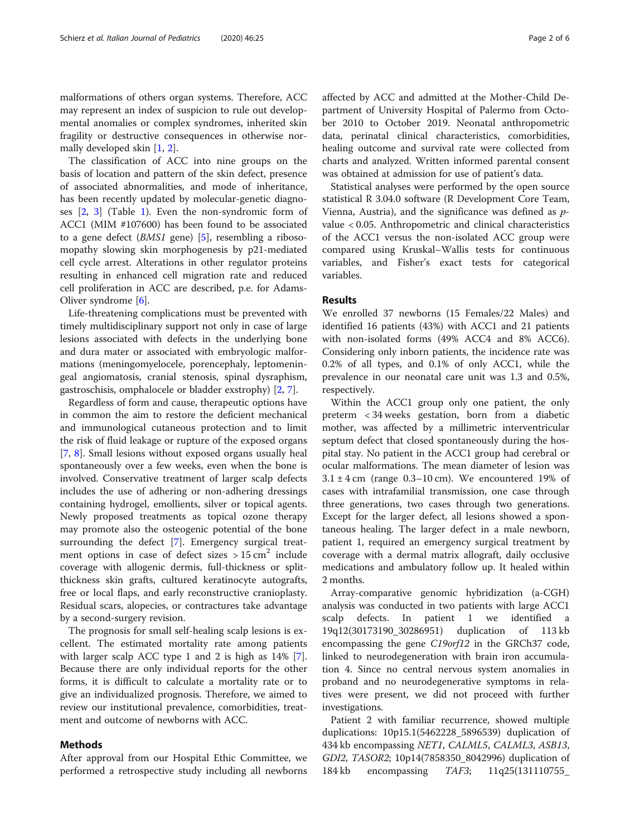malformations of others organ systems. Therefore, ACC may represent an index of suspicion to rule out developmental anomalies or complex syndromes, inherited skin fragility or destructive consequences in otherwise normally developed skin [\[1](#page-5-0), [2](#page-5-0)].

The classification of ACC into nine groups on the basis of location and pattern of the skin defect, presence of associated abnormalities, and mode of inheritance, has been recently updated by molecular-genetic diagnoses [[2,](#page-5-0) [3\]](#page-5-0) (Table [1\)](#page-2-0). Even the non-syndromic form of ACC1 (MIM #107600) has been found to be associated to a gene defect (BMS1 gene) [\[5\]](#page-5-0), resembling a ribosomopathy slowing skin morphogenesis by p21-mediated cell cycle arrest. Alterations in other regulator proteins resulting in enhanced cell migration rate and reduced cell proliferation in ACC are described, p.e. for Adams-Oliver syndrome [\[6](#page-5-0)].

Life-threatening complications must be prevented with timely multidisciplinary support not only in case of large lesions associated with defects in the underlying bone and dura mater or associated with embryologic malformations (meningomyelocele, porencephaly, leptomeningeal angiomatosis, cranial stenosis, spinal dysraphism, gastroschisis, omphalocele or bladder exstrophy) [[2,](#page-5-0) [7\]](#page-5-0).

Regardless of form and cause, therapeutic options have in common the aim to restore the deficient mechanical and immunological cutaneous protection and to limit the risk of fluid leakage or rupture of the exposed organs [[7,](#page-5-0) [8](#page-5-0)]. Small lesions without exposed organs usually heal spontaneously over a few weeks, even when the bone is involved. Conservative treatment of larger scalp defects includes the use of adhering or non-adhering dressings containing hydrogel, emollients, silver or topical agents. Newly proposed treatments as topical ozone therapy may promote also the osteogenic potential of the bone surrounding the defect [\[7](#page-5-0)]. Emergency surgical treatment options in case of defect sizes  $> 15$  cm<sup>2</sup> include coverage with allogenic dermis, full-thickness or splitthickness skin grafts, cultured keratinocyte autografts, free or local flaps, and early reconstructive cranioplasty. Residual scars, alopecies, or contractures take advantage by a second-surgery revision.

The prognosis for small self-healing scalp lesions is excellent. The estimated mortality rate among patients with larger scalp ACC type 1 and 2 is high as 14% [\[7](#page-5-0)]. Because there are only individual reports for the other forms, it is difficult to calculate a mortality rate or to give an individualized prognosis. Therefore, we aimed to review our institutional prevalence, comorbidities, treatment and outcome of newborns with ACC.

#### Methods

After approval from our Hospital Ethic Committee, we performed a retrospective study including all newborns affected by ACC and admitted at the Mother-Child Department of University Hospital of Palermo from October 2010 to October 2019. Neonatal anthropometric data, perinatal clinical characteristics, comorbidities, healing outcome and survival rate were collected from charts and analyzed. Written informed parental consent was obtained at admission for use of patient's data.

Statistical analyses were performed by the open source statistical R 3.04.0 software (R Development Core Team, Vienna, Austria), and the significance was defined as  $p$ value < 0.05. Anthropometric and clinical characteristics of the ACC1 versus the non-isolated ACC group were compared using Kruskal–Wallis tests for continuous variables, and Fisher's exact tests for categorical variables.

# Results

We enrolled 37 newborns (15 Females/22 Males) and identified 16 patients (43%) with ACC1 and 21 patients with non-isolated forms (49% ACC4 and 8% ACC6). Considering only inborn patients, the incidence rate was 0.2% of all types, and 0.1% of only ACC1, while the prevalence in our neonatal care unit was 1.3 and 0.5%, respectively.

Within the ACC1 group only one patient, the only preterm < 34 weeks gestation, born from a diabetic mother, was affected by a millimetric interventricular septum defect that closed spontaneously during the hospital stay. No patient in the ACC1 group had cerebral or ocular malformations. The mean diameter of lesion was  $3.1 \pm 4$  cm (range 0.3–10 cm). We encountered 19% of cases with intrafamilial transmission, one case through three generations, two cases through two generations. Except for the larger defect, all lesions showed a spontaneous healing. The larger defect in a male newborn, patient 1, required an emergency surgical treatment by coverage with a dermal matrix allograft, daily occlusive medications and ambulatory follow up. It healed within 2 months.

Array-comparative genomic hybridization (a-CGH) analysis was conducted in two patients with large ACC1 scalp defects. In patient 1 we identified a 19q12(30173190\_30286951) duplication of 113 kb encompassing the gene C19orf12 in the GRCh37 code, linked to neurodegeneration with brain iron accumulation 4. Since no central nervous system anomalies in proband and no neurodegenerative symptoms in relatives were present, we did not proceed with further investigations.

Patient 2 with familiar recurrence, showed multiple duplications: 10p15.1(5462228\_5896539) duplication of 434 kb encompassing NET1, CALML5, CALML3, ASB13, GDI2, TASOR2; 10p14(7858350\_8042996) duplication of 184 kb encompassing TAF3; 11q25(131110755\_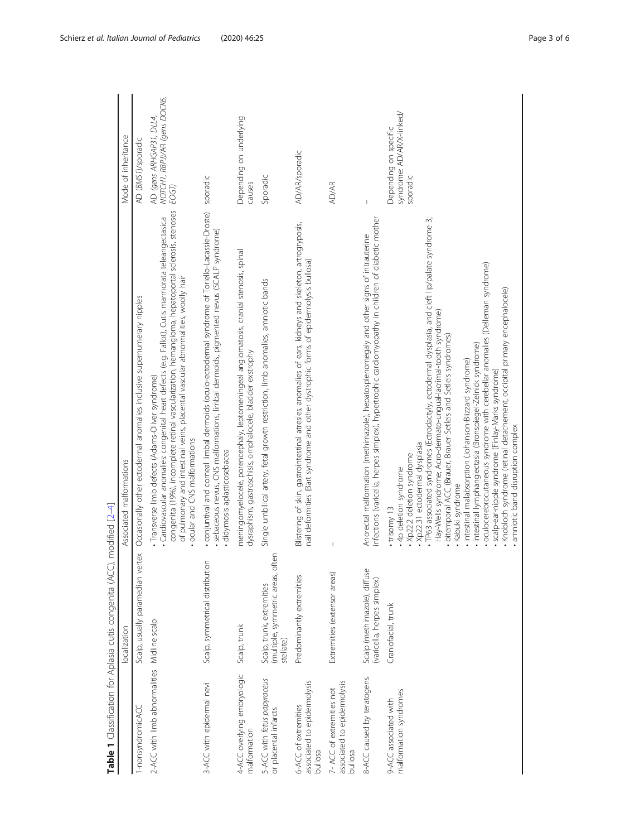<span id="page-2-0"></span>

|                                                                     | localization                                                                | Associated malformations                                                                                                                                                                                                                                                                                                                                                                                                                                                                                                                                                                                                                                                                                                                  | Mode of inheritance                                               |
|---------------------------------------------------------------------|-----------------------------------------------------------------------------|-------------------------------------------------------------------------------------------------------------------------------------------------------------------------------------------------------------------------------------------------------------------------------------------------------------------------------------------------------------------------------------------------------------------------------------------------------------------------------------------------------------------------------------------------------------------------------------------------------------------------------------------------------------------------------------------------------------------------------------------|-------------------------------------------------------------------|
| 1-nonsyndromicACC                                                   | Scalp, usually paramedian vertex                                            | Occasionally other ectodermal anomalies inclusive supernumerary nipples                                                                                                                                                                                                                                                                                                                                                                                                                                                                                                                                                                                                                                                                   | AD (BMS1)/sporadic                                                |
| 2-ACC with limb abnormalities Midline scalp                         |                                                                             | congenita (19%), incomplete retinal vascularization, hemangioma, hepatoportal sclerosis, stenoses<br>Cardiovascular anomalies: congenital heart defects (e.g. Fallot), Cutis marmorata teleangectasica<br>of pulmonary and intestinal veins, placental vascular abnormalities, woolly hair<br>· Transverse limb defects (Adams-Oliver syndrome)<br>ocular and CNS malformations                                                                                                                                                                                                                                                                                                                                                           | NOTCH1, RBPJ/AR (gens DOCK6,<br>AD (gens ARHGAP31, DLL4,<br>EOGT) |
| 3-ACC with epidermal nevi                                           | Scalp, symmetrical distribution                                             | conjuntival and corneal limbal dermoids (oculo-ectodermal syndrome of Toriello-Lacassie-Droste)<br>sebaceous nevus, CNS malformations, limbal dermoids, pigmented nevus (SCALP syndrome)<br>didymosis aplasticosebacea                                                                                                                                                                                                                                                                                                                                                                                                                                                                                                                    | sporadic                                                          |
| 4-ACC overlying embryologic<br>malformation                         | Scalp, trunk                                                                | meningomyelocele, porencephaly, leptomeningeal angiomatosis, cranial stenosis, spinal<br>dysraphism, gastroschisis, omphalocele, bladder exstrophy                                                                                                                                                                                                                                                                                                                                                                                                                                                                                                                                                                                        | Depending on underlying<br>causes                                 |
| 5-ACC with fetus papyraceus<br>or placental infarcts                | (multiple, symmetric areas, often<br>Scalp, trunk, extremities<br>stellate) | Single umbilical artery, fetal growth restriction, limb anomalies, amniotic bands                                                                                                                                                                                                                                                                                                                                                                                                                                                                                                                                                                                                                                                         | Sporadic                                                          |
| associated to epidermolysis<br>6-ACC of extremities<br>bullosa      | Predominantly extremities                                                   | Blistering of skin, gastrointestinal atresies, anomalies of ears, kidneys and skeleton, artrogryposis,<br>nail deformities (Bart syndrome and other dystrophic forms of epidermolysis bullosa)                                                                                                                                                                                                                                                                                                                                                                                                                                                                                                                                            | AD/AR/sporadic                                                    |
| associated to epidermolysis<br>7- ACC of extremities not<br>bullosa | Extremities (extensor areas)                                                |                                                                                                                                                                                                                                                                                                                                                                                                                                                                                                                                                                                                                                                                                                                                           | <b>AD/AR</b>                                                      |
| 8-ACC caused by teratogens                                          | Scalp (methimazole), diffuse<br>(varicella, herpes simplex)                 | infections (varicella, herpes simplex), hypertrophic cardiomyopathy in children of diabetic mother<br>Anorectal malformation (methimazole), hepatosplenomegaly and other signs of intrauterine                                                                                                                                                                                                                                                                                                                                                                                                                                                                                                                                            |                                                                   |
| malformation syndromes<br>9-ACC associated with                     | Craniofacial, trunk                                                         | . TP63 associated syndromes (Ectrodactyly, ectodermal dysplasia, and cleft lip/palate syndrome 3;<br>oculocerebrocutaneous syndrome with cerebellar anomalies (Delleman syndrome)<br>Knobloch syndrome (retinal detachement, occipital primary encephalocele)<br>Hay-Wells syndrome; Acro-dermato-ungual-lacrimal-tooth syndrome)<br>bitemporal ACC (Brauer, Brauer-Setleis and Setleis syndromes)<br>· intestinal lymphangiectasia (Bronspiegel-Zelnick syndrome)<br>intestinal malabsorption (Johanson-Blizzard syndrome)<br>scalp-ear-nipple syndrome (Finlay-Marks syndrome)<br>amniotic band disruption complex<br>Xp22.31 ectodermal dysplasia<br>Xp22.2 deletion syndrome<br>4p deletion syndrome<br>Kabuki syndrome<br>trisomy 13 | syndrome: AD/AR/X-linked/<br>Depending on specific<br>sporadic    |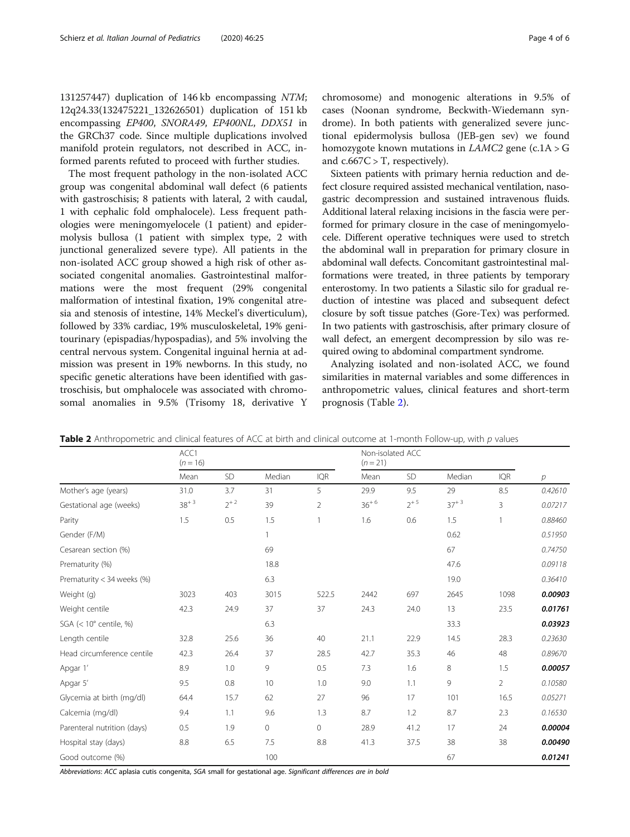131257447) duplication of 146 kb encompassing NTM; 12q24.33(132475221\_132626501) duplication of 151 kb encompassing EP400, SNORA49, EP400NL, DDX51 in the GRCh37 code. Since multiple duplications involved manifold protein regulators, not described in ACC, informed parents refuted to proceed with further studies.

The most frequent pathology in the non-isolated ACC group was congenital abdominal wall defect (6 patients with gastroschisis; 8 patients with lateral, 2 with caudal, 1 with cephalic fold omphalocele). Less frequent pathologies were meningomyelocele (1 patient) and epidermolysis bullosa (1 patient with simplex type, 2 with junctional generalized severe type). All patients in the non-isolated ACC group showed a high risk of other associated congenital anomalies. Gastrointestinal malformations were the most frequent (29% congenital malformation of intestinal fixation, 19% congenital atresia and stenosis of intestine, 14% Meckel's diverticulum), followed by 33% cardiac, 19% musculoskeletal, 19% genitourinary (epispadias/hypospadias), and 5% involving the central nervous system. Congenital inguinal hernia at admission was present in 19% newborns. In this study, no specific genetic alterations have been identified with gastroschisis, but omphalocele was associated with chromosomal anomalies in 9.5% (Trisomy 18, derivative Y chromosome) and monogenic alterations in 9.5% of cases (Noonan syndrome, Beckwith-Wiedemann syndrome). In both patients with generalized severe junctional epidermolysis bullosa (JEB-gen sev) we found homozygote known mutations in  $LAMC2$  gene (c.1A  $>$  G and  $c.667C > T$ , respectively).

Sixteen patients with primary hernia reduction and defect closure required assisted mechanical ventilation, nasogastric decompression and sustained intravenous fluids. Additional lateral relaxing incisions in the fascia were performed for primary closure in the case of meningomyelocele. Different operative techniques were used to stretch the abdominal wall in preparation for primary closure in abdominal wall defects. Concomitant gastrointestinal malformations were treated, in three patients by temporary enterostomy. In two patients a Silastic silo for gradual reduction of intestine was placed and subsequent defect closure by soft tissue patches (Gore-Tex) was performed. In two patients with gastroschisis, after primary closure of wall defect, an emergent decompression by silo was required owing to abdominal compartment syndrome.

Analyzing isolated and non-isolated ACC, we found similarities in maternal variables and some differences in anthropometric values, clinical features and short-term prognosis (Table 2).

|                                 | ACC1<br>$(n = 16)$ |          |              |                | Non-isolated ACC<br>$(n = 21)$ |          |          |                |               |
|---------------------------------|--------------------|----------|--------------|----------------|--------------------------------|----------|----------|----------------|---------------|
|                                 | Mean               | SD       | Median       | <b>IQR</b>     | Mean                           | SD       | Median   | <b>IQR</b>     | $\mathcal{D}$ |
| Mother's age (years)            | 31.0               | 3.7      | 31           | 5              | 29.9                           | 9.5      | 29       | 8.5            | 0.42610       |
| Gestational age (weeks)         | $38^{+3}$          | $2^{+2}$ | 39           | $\overline{2}$ | $36^{+6}$                      | $2^{+5}$ | $37 + 3$ | 3              | 0.07217       |
| Parity                          | 1.5                | 0.5      | 1.5          | $\mathbf{1}$   | 1.6                            | 0.6      | 1.5      | $\mathbf{1}$   | 0.88460       |
| Gender (F/M)                    |                    |          | $\mathbf{1}$ |                |                                |          | 0.62     |                | 0.51950       |
| Cesarean section (%)            |                    |          | 69           |                |                                |          | 67       |                | 0.74750       |
| Prematurity (%)                 |                    |          | 18.8         |                |                                |          | 47.6     |                | 0.09118       |
| Prematurity < 34 weeks (%)      |                    |          | 6.3          |                |                                |          | 19.0     |                | 0.36410       |
| Weight (g)                      | 3023               | 403      | 3015         | 522.5          | 2442                           | 697      | 2645     | 1098           | 0.00903       |
| Weight centile                  | 42.3               | 24.9     | 37           | 37             | 24.3                           | 24.0     | 13       | 23.5           | 0.01761       |
| SGA $(< 10^{\circ}$ centile, %) |                    |          | 6.3          |                |                                |          | 33.3     |                | 0.03923       |
| Length centile                  | 32.8               | 25.6     | 36           | 40             | 21.1                           | 22.9     | 14.5     | 28.3           | 0.23630       |
| Head circumference centile      | 42.3               | 26.4     | 37           | 28.5           | 42.7                           | 35.3     | 46       | 48             | 0.89670       |
| Apgar 1'                        | 8.9                | 1.0      | 9            | 0.5            | 7.3                            | 1.6      | 8        | 1.5            | 0.00057       |
| Apgar 5'                        | 9.5                | 0.8      | 10           | 1.0            | 9.0                            | 1.1      | 9        | $\overline{2}$ | 0.10580       |
| Glycemia at birth (mg/dl)       | 64.4               | 15.7     | 62           | 27             | 96                             | 17       | 101      | 16.5           | 0.05271       |
| Calcemia (mg/dl)                | 9.4                | 1.1      | 9.6          | 1.3            | 8.7                            | 1.2      | 8.7      | 2.3            | 0.16530       |
| Parenteral nutrition (days)     | 0.5                | 1.9      | 0            | $\circ$        | 28.9                           | 41.2     | 17       | 24             | 0.00004       |
| Hospital stay (days)            | 8.8                | 6.5      | 7.5          | 8.8            | 41.3                           | 37.5     | 38       | 38             | 0.00490       |
| Good outcome (%)                |                    |          | 100          |                |                                |          | 67       |                | 0.01241       |

Table 2 Anthropometric and clinical features of ACC at birth and clinical outcome at 1-month Follow-up, with p values

Abbreviations: ACC aplasia cutis congenita, SGA small for gestational age. Significant differences are in bold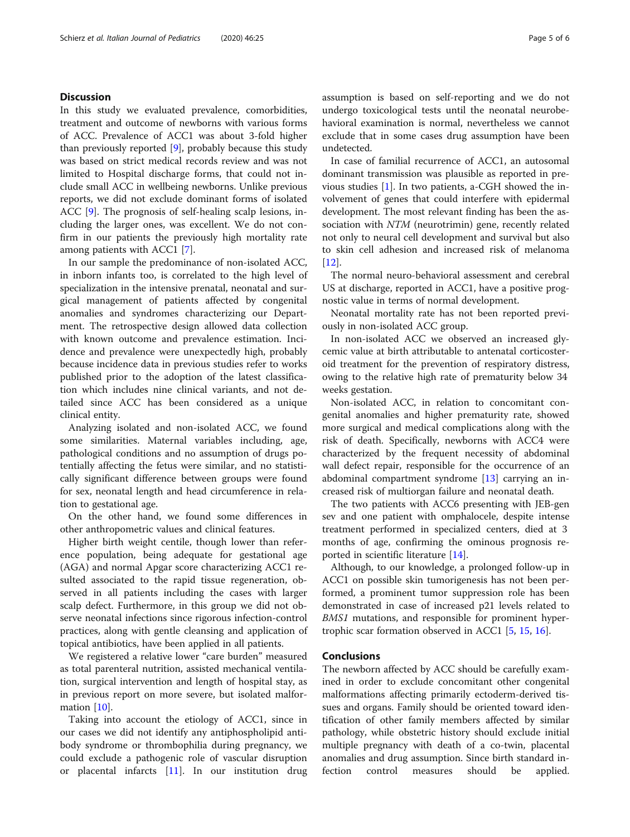### **Discussion**

In this study we evaluated prevalence, comorbidities, treatment and outcome of newborns with various forms of ACC. Prevalence of ACC1 was about 3-fold higher than previously reported [[9\]](#page-5-0), probably because this study was based on strict medical records review and was not limited to Hospital discharge forms, that could not include small ACC in wellbeing newborns. Unlike previous reports, we did not exclude dominant forms of isolated ACC [[9\]](#page-5-0). The prognosis of self-healing scalp lesions, including the larger ones, was excellent. We do not confirm in our patients the previously high mortality rate among patients with ACC1 [[7](#page-5-0)].

In our sample the predominance of non-isolated ACC, in inborn infants too, is correlated to the high level of specialization in the intensive prenatal, neonatal and surgical management of patients affected by congenital anomalies and syndromes characterizing our Department. The retrospective design allowed data collection with known outcome and prevalence estimation. Incidence and prevalence were unexpectedly high, probably because incidence data in previous studies refer to works published prior to the adoption of the latest classification which includes nine clinical variants, and not detailed since ACC has been considered as a unique clinical entity.

Analyzing isolated and non-isolated ACC, we found some similarities. Maternal variables including, age, pathological conditions and no assumption of drugs potentially affecting the fetus were similar, and no statistically significant difference between groups were found for sex, neonatal length and head circumference in relation to gestational age.

On the other hand, we found some differences in other anthropometric values and clinical features.

Higher birth weight centile, though lower than reference population, being adequate for gestational age (AGA) and normal Apgar score characterizing ACC1 resulted associated to the rapid tissue regeneration, observed in all patients including the cases with larger scalp defect. Furthermore, in this group we did not observe neonatal infections since rigorous infection-control practices, along with gentle cleansing and application of topical antibiotics, have been applied in all patients.

We registered a relative lower "care burden" measured as total parenteral nutrition, assisted mechanical ventilation, surgical intervention and length of hospital stay, as in previous report on more severe, but isolated malformation [[10](#page-5-0)].

Taking into account the etiology of ACC1, since in our cases we did not identify any antiphospholipid antibody syndrome or thrombophilia during pregnancy, we could exclude a pathogenic role of vascular disruption or placental infarcts [\[11](#page-5-0)]. In our institution drug assumption is based on self-reporting and we do not undergo toxicological tests until the neonatal neurobehavioral examination is normal, nevertheless we cannot exclude that in some cases drug assumption have been undetected.

In case of familial recurrence of ACC1, an autosomal dominant transmission was plausible as reported in previous studies  $[1]$  $[1]$ . In two patients, a-CGH showed the involvement of genes that could interfere with epidermal development. The most relevant finding has been the association with NTM (neurotrimin) gene, recently related not only to neural cell development and survival but also to skin cell adhesion and increased risk of melanoma  $[12]$  $[12]$ .

The normal neuro-behavioral assessment and cerebral US at discharge, reported in ACC1, have a positive prognostic value in terms of normal development.

Neonatal mortality rate has not been reported previously in non-isolated ACC group.

In non-isolated ACC we observed an increased glycemic value at birth attributable to antenatal corticosteroid treatment for the prevention of respiratory distress, owing to the relative high rate of prematurity below 34 weeks gestation.

Non-isolated ACC, in relation to concomitant congenital anomalies and higher prematurity rate, showed more surgical and medical complications along with the risk of death. Specifically, newborns with ACC4 were characterized by the frequent necessity of abdominal wall defect repair, responsible for the occurrence of an abdominal compartment syndrome [[13\]](#page-5-0) carrying an increased risk of multiorgan failure and neonatal death.

The two patients with ACC6 presenting with JEB-gen sev and one patient with omphalocele, despite intense treatment performed in specialized centers, died at 3 months of age, confirming the ominous prognosis reported in scientific literature [[14\]](#page-5-0).

Although, to our knowledge, a prolonged follow-up in ACC1 on possible skin tumorigenesis has not been performed, a prominent tumor suppression role has been demonstrated in case of increased p21 levels related to BMS1 mutations, and responsible for prominent hypertrophic scar formation observed in ACC1 [\[5,](#page-5-0) [15,](#page-5-0) [16\]](#page-5-0).

## Conclusions

The newborn affected by ACC should be carefully examined in order to exclude concomitant other congenital malformations affecting primarily ectoderm-derived tissues and organs. Family should be oriented toward identification of other family members affected by similar pathology, while obstetric history should exclude initial multiple pregnancy with death of a co-twin, placental anomalies and drug assumption. Since birth standard infection control measures should be applied.